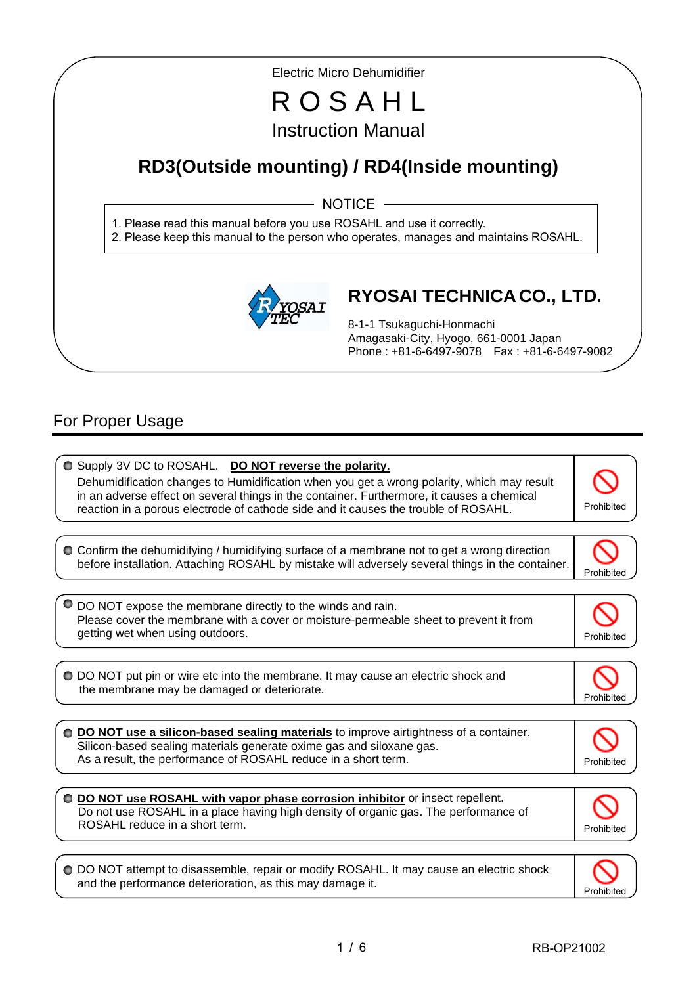Electric Micro Dehumidifier

# R O S A H L Instruction Manual

## **RD3(Outside mounting) / RD4(Inside mounting)**

NOTICE ·

1. Please read this manual before you use ROSAHL and use it correctly.

2. Please keep this manual to the person who operates, manages and maintains ROSAHL.



## **RYOSAI TECHNICA CO., LTD.**

8-1-1 Tsukaguchi-Honmachi Amagasaki-City, Hyogo, 661-0001 Japan Phone : +81-6-6497-9078 Fax : +81-6-6497-9082

## For Proper Usage

I I

I

 $\overline{\phantom{a}}$ 

 $\bullet$  Supply 3V DC to ROSAHL. **DO NOT reverse the polarity.** Dehumidification changes to Humidification when you get a wrong polarity, which may result in an adverse effect on several things in the container. Furthermore, it causes a chemical reaction in a porous electrode of cathode side and it causes the trouble of ROSAHL. Confirm the dehumidifying / humidifying surface of a membrane not to get a wrong direction before installation. Attaching ROSAHL by mistake will adversely several things in the container. Prohibited DO NOT expose the membrane directly to the winds and rain. Please cover the membrane with a cover or moisture-permeable sheet to prevent it from getting wet when using outdoors. The state of the state of the state of the state of the prohibited DO NOT put pin or wire etc into the membrane. It may cause an electric shock and the membrane may be damaged or deteriorate. Prohibited **DO NOT use a silicon-based sealing materials** to improve airtightness of a container. Silicon-based sealing materials generate oxime gas and siloxane gas. As a result, the performance of ROSAHL reduce in a short term. **DO NOT use ROSAHL with vapor phase corrosion inhibitor** or insect repellent. Do not use ROSAHL in a place having high density of organic gas. The performance of ROSAHL reduce in a short term.  $\overline{a}$ Prohibited O DO NOT attempt to disassemble, repair or modify ROSAHL. It may cause an electric shock



and the performance deterioration, as this may damage it.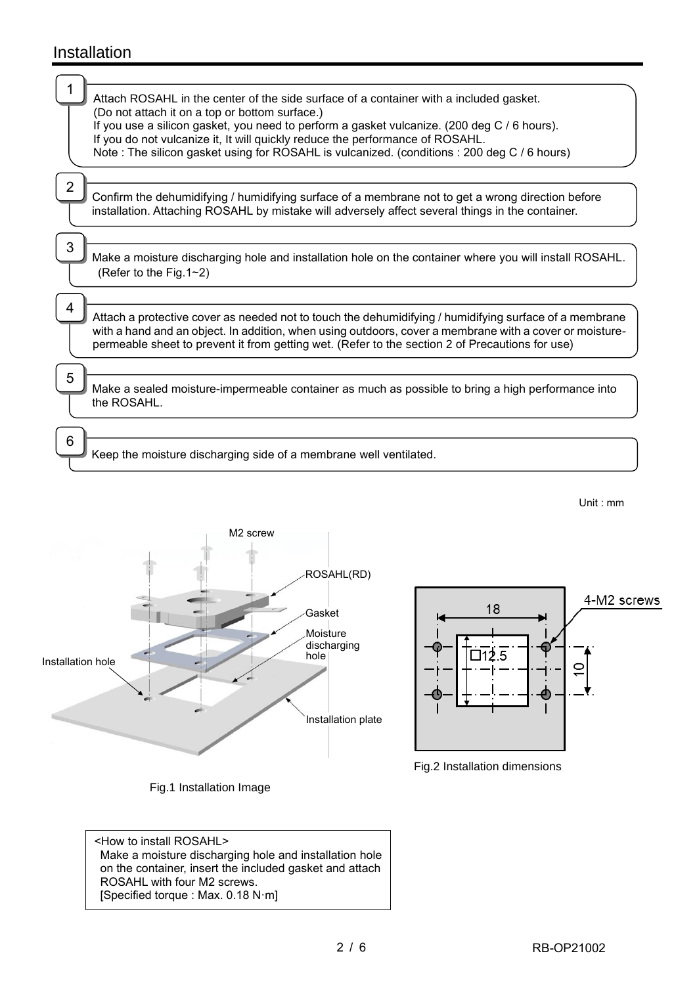## Installation

| Attach ROSAHL in the center of the side surface of a container with a included gasket.                                                                                                                            |
|-------------------------------------------------------------------------------------------------------------------------------------------------------------------------------------------------------------------|
| (Do not attach it on a top or bottom surface.)<br>If you use a silicon gasket, you need to perform a gasket vulcanize. (200 deg C / 6 hours).                                                                     |
| If you do not vulcanize it, It will quickly reduce the performance of ROSAHL.<br>Note: The silicon gasket using for ROSAHL is vulcanized. (conditions: 200 deg C / 6 hours)                                       |
|                                                                                                                                                                                                                   |
|                                                                                                                                                                                                                   |
| Confirm the dehumidifying / humidifying surface of a membrane not to get a wrong direction before<br>installation. Attaching ROSAHL by mistake will adversely affect several things in the container.             |
|                                                                                                                                                                                                                   |
| 3<br>Make a moisture discharging hole and installation hole on the container where you will install ROSAHL.                                                                                                       |
| (Refer to the Fig.1~2)                                                                                                                                                                                            |
| 4                                                                                                                                                                                                                 |
| Attach a protective cover as needed not to touch the dehumidifying / humidifying surface of a membrane<br>with a hand and an object. In addition, when using outdoors, cover a membrane with a cover or moisture- |
| permeable sheet to prevent it from getting wet. (Refer to the section 2 of Precautions for use)                                                                                                                   |
| 5                                                                                                                                                                                                                 |
| Make a sealed moisture-impermeable container as much as possible to bring a high performance into                                                                                                                 |
| the ROSAHL.                                                                                                                                                                                                       |
| 6                                                                                                                                                                                                                 |
| Keep the moisture discharging side of a membrane well ventilated.                                                                                                                                                 |



Fig.1 Installation Image



Fig.2 Installation dimensions

<How to install ROSAHL> Make a moisture discharging hole and installation hole on the container, insert the included gasket and attach ROSAHL with four M2 screws. [Specified torque : Max. 0.18 N·m]

Unit : mm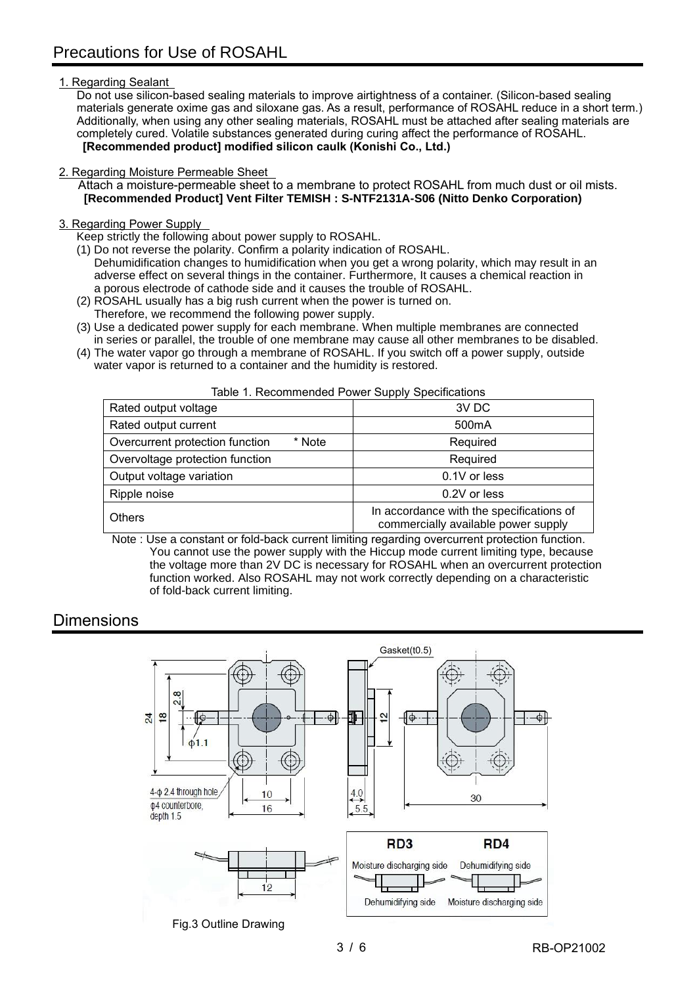#### 1. Regarding Sealant

Do not use silicon-based sealing materials to improve airtightness of a container. (Silicon-based sealing materials generate oxime gas and siloxane gas. As a result, performance of ROSAHL reduce in a short term.) Additionally, when using any other sealing materials, ROSAHL must be attached after sealing materials are completely cured. Volatile substances generated during curing affect the performance of ROSAHL. **[Recommended product] modified silicon caulk (Konishi Co., Ltd.)**

#### 2. Regarding Moisture Permeable Sheet

Attach a moisture-permeable sheet to a membrane to protect ROSAHL from much dust or oil mists. **[Recommended Product] Vent Filter TEMISH : S-NTF2131A-S06 (Nitto Denko Corporation)**

#### 3. Regarding Power Supply

Keep strictly the following about power supply to ROSAHL.

- (1) Do not reverse the polarity. Confirm a polarity indication of ROSAHL. Dehumidification changes to humidification when you get a wrong polarity, which may result in an adverse effect on several things in the container. Furthermore, It causes a chemical reaction in a porous electrode of cathode side and it causes the trouble of ROSAHL.
- (2) ROSAHL usually has a big rush current when the power is turned on.
- Therefore, we recommend the following power supply.
- (3) Use a dedicated power supply for each membrane. When multiple membranes are connected in series or parallel, the trouble of one membrane may cause all other membranes to be disabled.
- (4) The water vapor go through a membrane of ROSAHL. If you switch off a power supply, outside water vapor is returned to a container and the humidity is restored.

| .                                                                               |  |  |  |  |  |
|---------------------------------------------------------------------------------|--|--|--|--|--|
| 3V DC                                                                           |  |  |  |  |  |
| 500 <sub>m</sub> A                                                              |  |  |  |  |  |
| Required                                                                        |  |  |  |  |  |
| Required                                                                        |  |  |  |  |  |
| 0.1V or less                                                                    |  |  |  |  |  |
| 0.2V or less                                                                    |  |  |  |  |  |
| In accordance with the specifications of<br>commercially available power supply |  |  |  |  |  |
|                                                                                 |  |  |  |  |  |

Table 1. Recommended Power Supply Specifications

 Note : Use a constant or fold-back current limiting regarding overcurrent protection function. You cannot use the power supply with the Hiccup mode current limiting type, because

the voltage more than 2V DC is necessary for ROSAHL when an overcurrent protection function worked. Also ROSAHL may not work correctly depending on a characteristic of fold-back current limiting.

### **Dimensions**

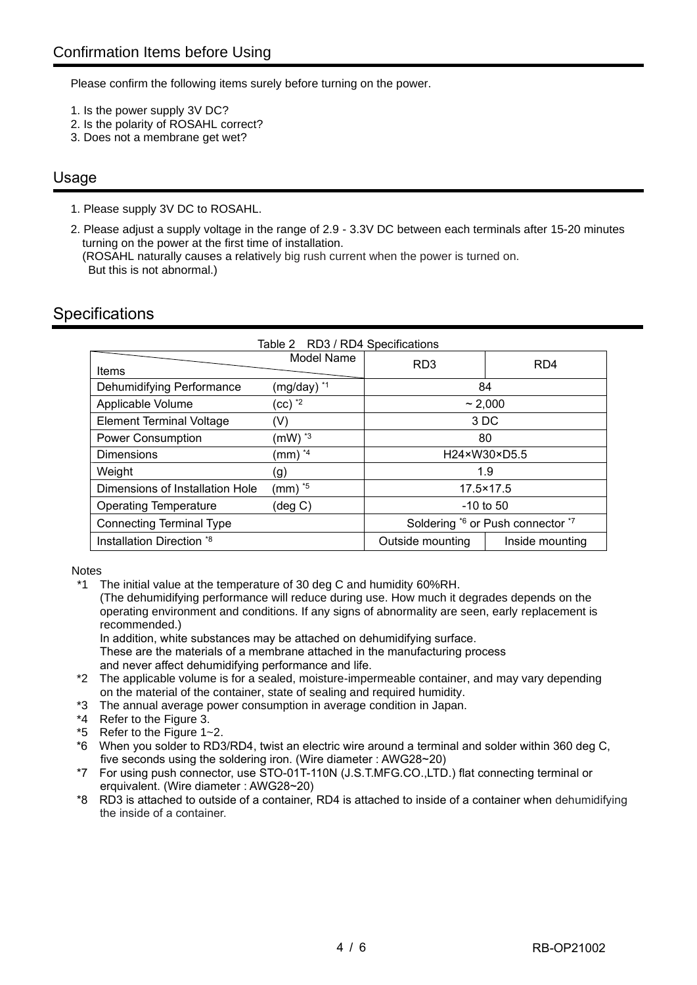Please confirm the following items surely before turning on the power.

- 1. Is the power supply 3V DC?
- 2. Is the polarity of ROSAHL correct?
- 3. Does not a membrane get wet?

### Usage

1. Please supply 3V DC to ROSAHL.

2. Please adjust a supply voltage in the range of 2.9 - 3.3V DC between each terminals after 15-20 minutes turning on the power at the first time of installation. (ROSAHL naturally causes a relatively big rush current when the power is turned on. But this is not abnormal.)

## **Specifications**

| Table 2 RD3 / RD4 Specifications |                             |                  |                                   |  |  |
|----------------------------------|-----------------------------|------------------|-----------------------------------|--|--|
|                                  | Model Name                  | R <sub>D</sub> 3 | R <sub>D</sub> 4                  |  |  |
| Items                            |                             |                  |                                   |  |  |
| Dehumidifying Performance        | (mg/day) *1                 | 84               |                                   |  |  |
| Applicable Volume                | $(cc)$ $^*2$                | ~2.000           |                                   |  |  |
| <b>Element Terminal Voltage</b>  | (V)                         | 3 DC             |                                   |  |  |
| <b>Power Consumption</b>         | $(mW)^*$ <sup>3</sup>       | 80               |                                   |  |  |
| <b>Dimensions</b>                | $(mm)^{4}$                  | H24×W30×D5.5     |                                   |  |  |
| Weight                           | (g)                         | 1.9              |                                   |  |  |
| Dimensions of Installation Hole  | $\textsf{(mm)}$ $^{\ast 5}$ | 17.5×17.5        |                                   |  |  |
| <b>Operating Temperature</b>     | (deg C)                     | $-10$ to 50      |                                   |  |  |
| <b>Connecting Terminal Type</b>  |                             |                  | Soldering *6 or Push connector *7 |  |  |
| Installation Direction *8        |                             | Outside mounting | Inside mounting                   |  |  |

**Notes** 

\*1 The initial value at the temperature of 30 deg C and humidity 60%RH.

(The dehumidifying performance will reduce during use. How much it degrades depends on the operating environment and conditions. If any signs of abnormality are seen, early replacement is recommended.)

In addition, white substances may be attached on dehumidifying surface.

These are the materials of a membrane attached in the manufacturing process and never affect dehumidifying performance and life.

- \*2 The applicable volume is for a sealed, moisture-impermeable container, and may vary depending on the material of the container, state of sealing and required humidity.
- \*3 The annual average power consumption in average condition in Japan.
- \*4 Refer to the Figure 3.
- \*5 Refer to the Figure 1~2.
- \*6 When you solder to RD3/RD4, twist an electric wire around a terminal and solder within 360 deg C, five seconds using the soldering iron. (Wire diameter : AWG28~20)
- \*7 For using push connector, use STO-01T-110N (J.S.T.MFG.CO.,LTD.) flat connecting terminal or erquivalent. (Wire diameter : AWG28~20)
- \*8 RD3 is attached to outside of a container, RD4 is attached to inside of a container when dehumidifying the inside of a container.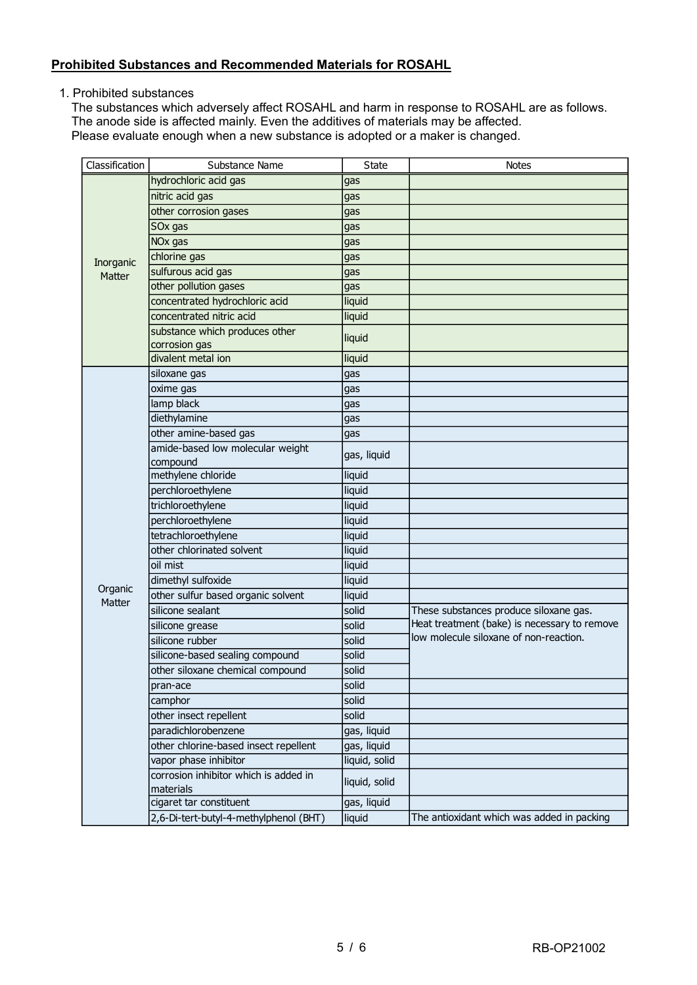### **Prohibited Substances and Recommended Materials for ROSAHL**

1. Prohibited substances

The substances which adversely affect ROSAHL and harm in response to ROSAHL are as follows. The anode side is affected mainly. Even the additives of materials may be affected. Please evaluate enough when a new substance is adopted or a maker is changed.

| Classification      | Substance Name                                     | <b>State</b>  | <b>Notes</b>                                 |  |
|---------------------|----------------------------------------------------|---------------|----------------------------------------------|--|
|                     | hydrochloric acid gas                              | gas           |                                              |  |
|                     | nitric acid gas                                    | gas           |                                              |  |
|                     | other corrosion gases                              | gas           |                                              |  |
|                     | SOx gas                                            | gas           |                                              |  |
|                     | NO <sub>x</sub> gas                                | gas           |                                              |  |
|                     | chlorine gas                                       | gas           |                                              |  |
| Inorganic<br>Matter | sulfurous acid gas                                 | gas           |                                              |  |
|                     | other pollution gases                              | gas           |                                              |  |
|                     | concentrated hydrochloric acid                     | liquid        |                                              |  |
|                     | concentrated nitric acid                           | liquid        |                                              |  |
|                     | substance which produces other<br>corrosion gas    | liquid        |                                              |  |
|                     | divalent metal ion                                 | liquid        |                                              |  |
|                     | siloxane gas                                       | gas           |                                              |  |
|                     | oxime gas                                          | gas           |                                              |  |
|                     | lamp black                                         | gas           |                                              |  |
|                     | diethylamine                                       | gas           |                                              |  |
|                     | other amine-based gas                              | gas           |                                              |  |
|                     | amide-based low molecular weight                   |               |                                              |  |
|                     | compound                                           | gas, liquid   |                                              |  |
|                     | methylene chloride                                 | liquid        |                                              |  |
|                     | perchloroethylene                                  | liquid        |                                              |  |
|                     | trichloroethylene                                  | liquid        |                                              |  |
|                     | perchloroethylene                                  | liquid        |                                              |  |
|                     | tetrachloroethylene                                | liquid        |                                              |  |
|                     | other chlorinated solvent                          | liquid        |                                              |  |
|                     | oil mist                                           | liquid        |                                              |  |
|                     | dimethyl sulfoxide                                 | liquid        |                                              |  |
| Organic<br>Matter   | other sulfur based organic solvent                 | liquid        |                                              |  |
|                     | silicone sealant                                   | solid         | These substances produce siloxane gas.       |  |
|                     | silicone grease                                    | solid         | Heat treatment (bake) is necessary to remove |  |
|                     | silicone rubber                                    | solid         | low molecule siloxane of non-reaction.       |  |
|                     | silicone-based sealing compound                    | solid         |                                              |  |
|                     | other siloxane chemical compound                   | solid         |                                              |  |
|                     | pran-ace                                           | solid         |                                              |  |
|                     | camphor                                            | solid         |                                              |  |
|                     | other insect repellent                             | solid         |                                              |  |
|                     | paradichlorobenzene                                | gas, liquid   |                                              |  |
|                     | other chlorine-based insect repellent              | gas, liquid   |                                              |  |
|                     | vapor phase inhibitor                              | liquid, solid |                                              |  |
|                     | corrosion inhibitor which is added in<br>materials | liquid, solid |                                              |  |
|                     | cigaret tar constituent                            | gas, liquid   |                                              |  |
|                     | 2,6-Di-tert-butyl-4-methylphenol (BHT)             | liquid        | The antioxidant which was added in packing   |  |